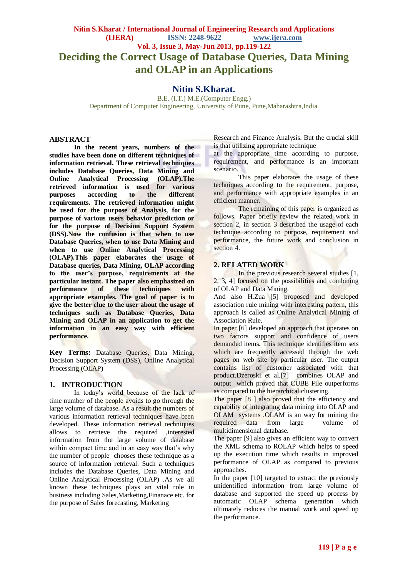# **Nitin S.Kharat.**

B.E. (I.T.) M.E.(Computer Engg.) Department of Computer Engineering, University of Pune, Pune,Maharashtra,India.

# **ABSTRACT**

**In the recent years, numbers of the studies have been done on different techniques of information retrieval. These retrieval techniques includes Database Queries, Data Mining and Online Analytical Processing (OLAP).The retrieved information is used for various purposes according to the different requirements. The retrieved information might be used for the purpose of Analysis, for the purpose of various users behavior prediction or for the purpose of Decision Support System (DSS).Now the confusion is that when to use Database Queries, when to use Data Mining and when to use Online Analytical Processing (OLAP).This paper elaborates the usage of Database queries, Data Mining, OLAP according to the user's purpose, requirements at the particular instant. The paper also emphasized on performance** techniques with **appropriate examples. The goal of paper is to give the better clue to the user about the usage of techniques such as Database Queries, Data Mining and OLAP in an application to get the information in an easy way with efficient performance.**

**Key Terms:** Database Queries, Data Mining, Decision Support System (DSS), Online Analytical Processing (OLAP)

#### **1. INTRODUCTION**

In today's world because of the lack of time number of the people avoids to go through the large volume of database. As a result the numbers of various information retrieval techniques have been developed. These information retrieval techniques allows to retrieve the required ,interested information from the large volume of database within compact time and in an easy way that's why the number of people chooses these technique as a source of information retrieval. Such a techniques includes the Database Queries, Data Mining and Online Analytical Processing (OLAP) .As we all known these techniques plays an vital role in business including Sales,Marketing,Finanace etc. for the purpose of Sales forecasting, Marketing

Research and Finance Analysis. But the crucial skill is that utilizing appropriate technique

at the appropriate time according to purpose, requirement, and performance is an important scenario.

This paper elaborates the usage of these techniques according to the requirement, purpose, and performance with appropriate examples in an efficient manner.

The remaining of this paper is organized as follows. Paper briefly review the related work in section 2, in section 3 described the usage of each technique according to purpose, requirement and performance, the future work and conclusion in section 4.

#### **2. RELATED WORK**

In the previous research several studies [1, 2, 3, 4] focused on the possibilities and combining of OLAP and Data Mining.

And also H.Zua [5] proposed and developed association rule mining with interesting pattern, this approach is called as Online Analytical Mining of Association Rule.

In paper [6] developed an approach that operates on two factors support and confidence of users demanded items. This technique identifies item sets which are frequently accessed through the web pages on web site by particular user. The output contains list of customer associated with that product.Dzeroski et al.[7] combines OLAP and output which proved that CUBE File outperforms as compared to the hierarchical clustering.

The paper [8 ] also proved that the efficiency and capability of integrating data mining into OLAP and OLAM systems .OLAM is an way for mining the required data from large volume multidimensional database.

The paper [9] also gives an efficient way to convert the XML schema to ROLAP which helps to speed up the execution time which results in improved performance of OLAP as compared to previous approaches.

In the paper [10] targeted to extract the previously unidentified information from large volume of database and supported the speed up process by automatic OLAP schema generation which ultimately reduces the manual work and speed up the performance.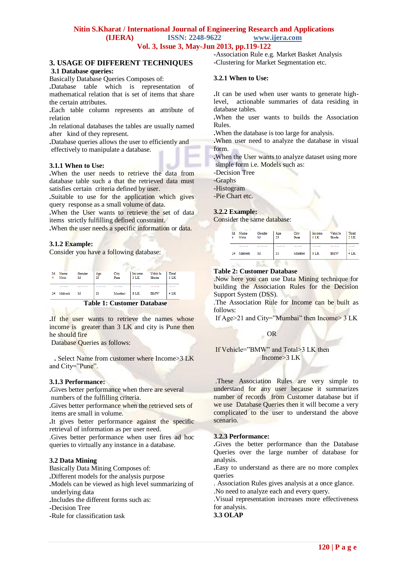## **Nitin S.Kharat / International Journal of Engineering Research and Applications**

**(IJERA) ISSN: 2248-9622 www.ijera.com**

**Vol. 3, Issue 3, May-Jun 2013, pp.119-122**

#### **3. USAGE OF DIFFERENT TECHNIQUES 3.1 Database queries:**

Basically Database Queries Composes of:

**.**Database table which is representation of mathematical relation that is set of items that share the certain attributes.

**.**Each table column represents an attribute of relation

**.**In relational databases the tables are usually named after kind of they represent.

**.**Database queries allows the user to efficiently and effectively to manipulate a database.

## **3.1.1 When to Use:**

**.**When the user needs to retrieve the data from database table such a that the retrieved data must satisfies certain criteria defined by user.

**.**Suitable to use for the application which gives query response as a small volume of data.

**.**When the User wants to retrieve the set of data items strictly fulfilling defined constraint.

**.**When the user needs a specific information or data.

### **3.1.2 Example:**

Consider you have a following database:

| Ιd | Name<br>Nitin     | Gender<br>м  | Age<br>23 | City<br>Pune             | Income<br>3 LK | Vehicle<br>Skoda     | <b>Total</b><br>$2$ LK |
|----|-------------------|--------------|-----------|--------------------------|----------------|----------------------|------------------------|
| 24 | <b></b><br>Mahesh | <b></b><br>м | 21        | .<br>Mumbai              | 8 LK           | .<br><b>EMW</b>      | <br>$-$<br>4 LK        |
|    |                   | .            | -         | $\sim$<br>$\overline{a}$ |                | $\sim$ $\sim$ $\sim$ |                        |

 **Table 1: Customer Database**

**.**If the user wants to retrieve the names whose income is greater than 3 LK and city is Pune then he should fire

Database Queries as follows:

 **.** Select Name from customer where Income>3 LK and City="Pune".

## **3.1.3 Performance:**

**.**Gives better performance when there are several numbers of the fulfilling criteria.

**.**Gives better performance when the retrieved sets of items are small in volume.

**.**It gives better performance against the specific retrieval of information as per user need.

.Gives better performance when user fires ad hoc queries to virtually any instance in a database.

#### **3.2 Data Mining**

Basically Data Mining Composes of:

**.**Different models for the analysis purpose

**.**Models can be viewed as high level summarizing of underlying data

**.**Includes the different forms such as:

**-**Decision Tree

**-**Rule for classification task

**-**Association Rule e.g. Market Basket Analysis **-**Clustering for Market Segmentation etc.

### **3.2.1 When to Use:**

**.**It can be used when user wants to generate highlevel, actionable summaries of data residing in database tables.

**.**When the user wants to builds the Association Rules.

**.**When the database is too large for analysis.

**.**When user need to analyze the database in visual form.

**.**When the User wants to analyze dataset using more simple form i.e. Models such as:

-Decision Tree

-Graphs

-Histogram

-Pie Chart etc.

### **3.2.2 Example:**

Consider the same database:

| Id Name<br>Nitin | Gender<br>м           | Age<br>23 | City<br>Pune       | Income<br>$3$ LK | <b>Vehicle</b><br>Skoda | <b>Total</b><br>$2$ LK |
|------------------|-----------------------|-----------|--------------------|------------------|-------------------------|------------------------|
| <br>24 Mahesh    | <b>*********</b><br>м | .<br>21   | --------<br>Mumbai | -------<br>8 LK  | <br><b>BMW</b>          | <br>$-$<br>4 LK        |
|                  |                       |           |                    |                  |                         |                        |

### **Table 2: Customer Database**

.Now here you can use Data Mining technique for building the Association Rules for the Decision Support System (DSS).

.The Association Rule for Income can be built as follows:

If Age>21 and City="Mumbai" then Income> 3 LK

# OR

If Vehicle="BMW" and Total>3 LK then Income>3 LK

.These Association Rules are very simple to understand for any user because it summarizes number of records from Customer database but if we use Database Queries then it will become a very complicated to the user to understand the above scenario.

## **3.2.3 Performance:**

**.**Gives the better performance than the Database Queries over the large number of database for analysis.

**.**Easy to understand as there are no more complex queries

. Association Rules gives analysis at a once glance.

.No need to analyze each and every query.

.Visual representation increases more effectiveness for analysis.

#### **3.3 OLAP**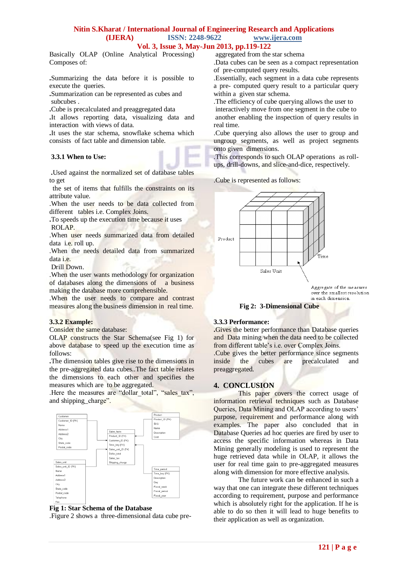# **Nitin S.Kharat / International Journal of Engineering Research and Applications**

**(IJERA) ISSN: 2248-9622 www.ijera.com**

#### **Vol. 3, Issue 3, May-Jun 2013, pp.119-122**

Basically OLAP (Online Analytical Processing) Composes of:

**.**Summarizing the data before it is possible to execute the queries.

**.**Summarization can be represented as cubes and subcubes .

**.**Cube is precalculated and preaggregated data

**.**It allows reporting data, visualizing data and interaction with views of data.

**.**It uses the star schema, snowflake schema which consists of fact table and dimension table.

#### **3.3.1 When to Use:**

**.**Used against the normalized set of database tables to get

the set of items that fulfills the constraints on its attribute value.

.When the user needs to be data collected from different tables i.e. Complex Joins.

**.**To speeds up the execution time because it uses ROLAP.

.When user needs summarized data from detailed data i.e. roll up.

.When the needs detailed data from summarized data i.e.

Drill Down.

.When the user wants methodology for organization of databases along the dimensions of a business making the database more comprehensible.

.When the user needs to compare and contrast measures along the business dimension in real time.

#### **3.3.2 Example:**

Consider the same database:

OLAP constructs the Star Schema(see Fig 1) for above database to speed up the execution time as follows:

**.**The dimension tables give rise to the dimensions in the pre-aggregated data cubes..The fact table relates the dimensions to each other and specifies the measures which are to be aggregated.

.Here the measures are "dollar total", "sales tax", and shipping charge".



#### **Fig 1: Star Schema of the Database**

.Figure 2 shows a three-dimensional data cube pre-

aggregated from the star schema

.Data cubes can be seen as a compact representation of pre-computed query results.

.Essentially, each segment in a data cube represents a pre- computed query result to a particular query within a given star schema.

.The efficiency of cube querying allows the user to interactively move from one segment in the cube to another enabling the inspection of query results in real time.

.Cube querying also allows the user to group and ungroup segments, as well as project segments onto given dimensions.

.This corresponds to such OLAP operations as rollups, drill-downs, and slice-and-dice, respectively.

.Cube is represented as follows:



Aggregate of the measures over the smallest resolution in each dimension.

#### **Fig 2: 3-Dimensional Cube**

#### **3.3.3 Performance:**

**.**Gives the better performance than Database queries and Data mining when the data need to be collected from different table's i.e. over Complex Joins. .Cube gives the better performance since segments inside the cubes are precalculated and preaggregated.

#### **4. CONCLUSION**

This paper covers the correct usage of information retrieval techniques such as Database Queries, Data Mining and OLAP according to users' purpose, requirement and performance along with examples. The paper also concluded that in Database Queries ad hoc queries are fired by user to access the specific information whereas in Data Mining generally modeling is used to represent the huge retrieved data while in OLAP, it allows the user for real time gain to pre-aggregated measures along with dimension for more effective analysis.

The future work can be enhanced in such a way that one can integrate these different techniques according to requirement, purpose and performance which is absolutely right for the application. If he is able to do so then it will lead to huge benefits to their application as well as organization.